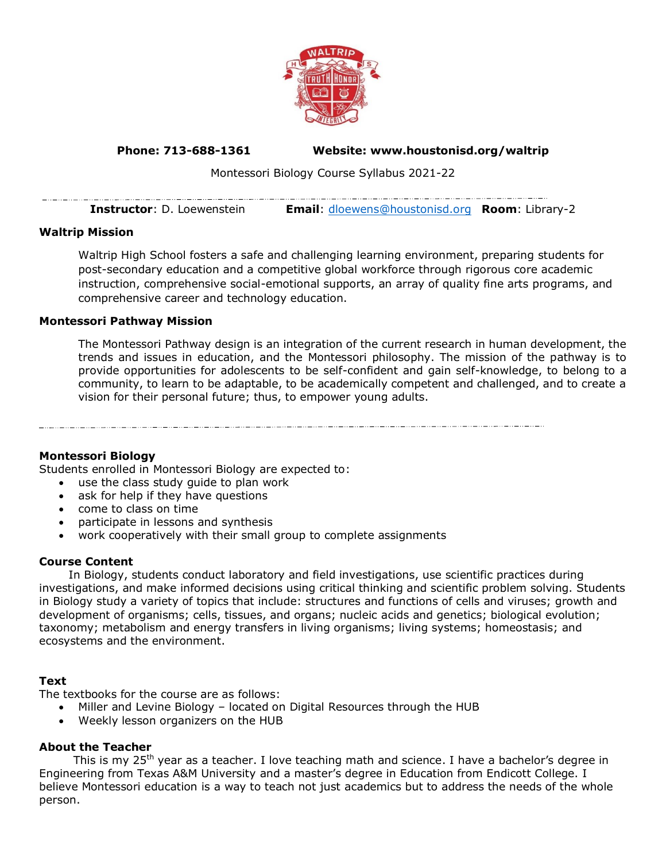

# **Phone: 713-688-1361 Website: www.houstonisd.org/waltrip**

Montessori Biology Course Syllabus 2021-22

| <b>Instructor</b> : D. Loewenstein | <b>Email:</b> dloewens@houstonisd.org <b>Room:</b> Library-2 |  |
|------------------------------------|--------------------------------------------------------------|--|

# **Waltrip Mission**

 $-\cdots$ 

Waltrip High School fosters a safe and challenging learning environment, preparing students for post-secondary education and a competitive global workforce through rigorous core academic instruction, comprehensive social-emotional supports, an array of quality fine arts programs, and comprehensive career and technology education.

### **Montessori Pathway Mission**

The Montessori Pathway design is an integration of the current research in human development, the trends and issues in education, and the Montessori philosophy. The mission of the pathway is to provide opportunities for adolescents to be self-confident and gain self-knowledge, to belong to a community, to learn to be adaptable, to be academically competent and challenged, and to create a vision for their personal future; thus, to empower young adults.

#### **Montessori Biology**

Students enrolled in Montessori Biology are expected to:

- use the class study guide to plan work
- ask for help if they have questions
- come to class on time
- participate in lessons and synthesis
- work cooperatively with their small group to complete assignments

#### **Course Content**

In Biology, students conduct laboratory and field investigations, use scientific practices during investigations, and make informed decisions using critical thinking and scientific problem solving. Students in Biology study a variety of topics that include: structures and functions of cells and viruses; growth and development of organisms; cells, tissues, and organs; nucleic acids and genetics; biological evolution; taxonomy; metabolism and energy transfers in living organisms; living systems; homeostasis; and ecosystems and the environment.

# **Text**

The textbooks for the course are as follows:

- Miller and Levine Biology located on Digital Resources through the HUB
- Weekly lesson organizers on the HUB

# **About the Teacher**

This is my 25<sup>th</sup> year as a teacher. I love teaching math and science. I have a bachelor's degree in Engineering from Texas A&M University and a master's degree in Education from Endicott College. I believe Montessori education is a way to teach not just academics but to address the needs of the whole person.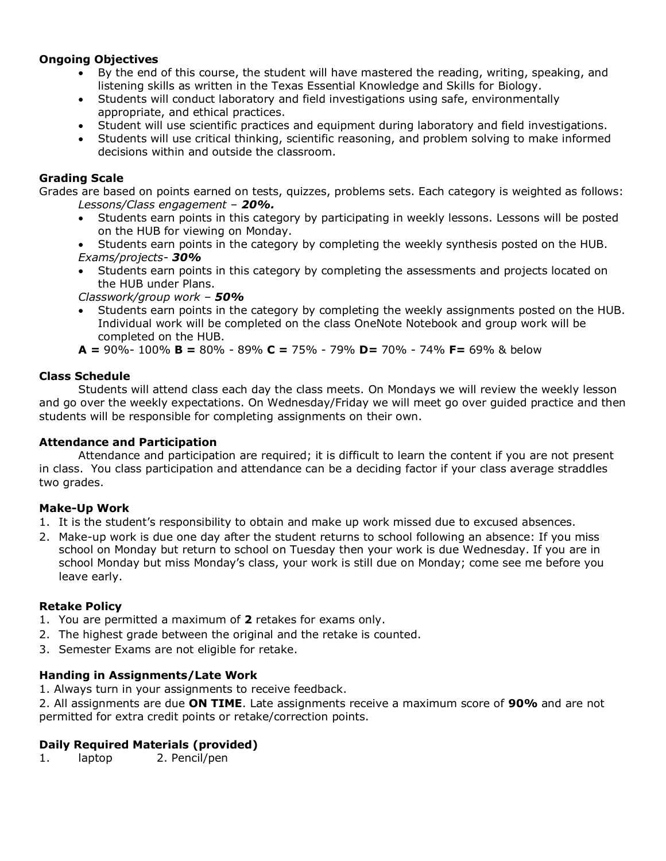# **Ongoing Objectives**

- By the end of this course, the student will have mastered the reading, writing, speaking, and listening skills as written in the Texas Essential Knowledge and Skills for Biology.
- Students will conduct laboratory and field investigations using safe, environmentally appropriate, and ethical practices.
- Student will use scientific practices and equipment during laboratory and field investigations.
- Students will use critical thinking, scientific reasoning, and problem solving to make informed decisions within and outside the classroom.

# **Grading Scale**

Grades are based on points earned on tests, quizzes, problems sets. Each category is weighted as follows: *Lessons/Class engagement – 20%.* 

- Students earn points in this category by participating in weekly lessons. Lessons will be posted on the HUB for viewing on Monday.
- Students earn points in the category by completing the weekly synthesis posted on the HUB. *Exams/projects- 30%*
- Students earn points in this category by completing the assessments and projects located on the HUB under Plans.

*Classwork/group work – 50%*

• Students earn points in the category by completing the weekly assignments posted on the HUB. Individual work will be completed on the class OneNote Notebook and group work will be completed on the HUB.

**A =** 90%- 100% **B =** 80% - 89% **C =** 75% - 79% **D=** 70% - 74% **F=** 69% & below

# **Class Schedule**

Students will attend class each day the class meets. On Mondays we will review the weekly lesson and go over the weekly expectations. On Wednesday/Friday we will meet go over guided practice and then students will be responsible for completing assignments on their own.

# **Attendance and Participation**

Attendance and participation are required; it is difficult to learn the content if you are not present in class. You class participation and attendance can be a deciding factor if your class average straddles two grades.

# **Make-Up Work**

- 1. It is the student's responsibility to obtain and make up work missed due to excused absences.
- 2. Make-up work is due one day after the student returns to school following an absence: If you miss school on Monday but return to school on Tuesday then your work is due Wednesday. If you are in school Monday but miss Monday's class, your work is still due on Monday; come see me before you leave early.

# **Retake Policy**

- 1. You are permitted a maximum of **2** retakes for exams only.
- 2. The highest grade between the original and the retake is counted.
- 3. Semester Exams are not eligible for retake.

# **Handing in Assignments/Late Work**

1. Always turn in your assignments to receive feedback.

2. All assignments are due **ON TIME**. Late assignments receive a maximum score of **90%** and are not permitted for extra credit points or retake/correction points.

# **Daily Required Materials (provided)**

1. laptop 2. Pencil/pen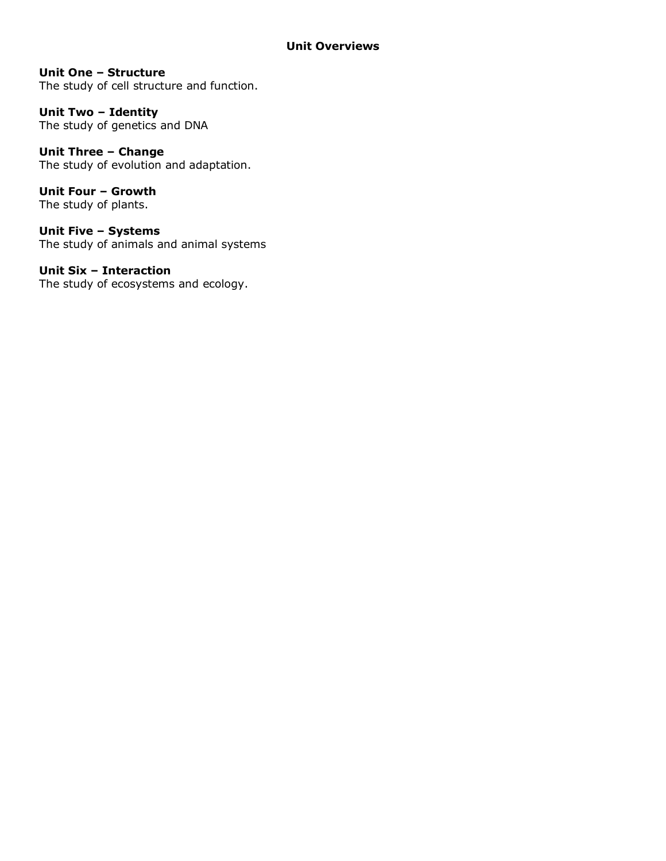# **Unit One – Structure**

The study of cell structure and function.

**Unit Two – Identity** The study of genetics and DNA

**Unit Three – Change**  The study of evolution and adaptation.

**Unit Four – Growth** The study of plants.

**Unit Five – Systems** The study of animals and animal systems

**Unit Six – Interaction** The study of ecosystems and ecology.